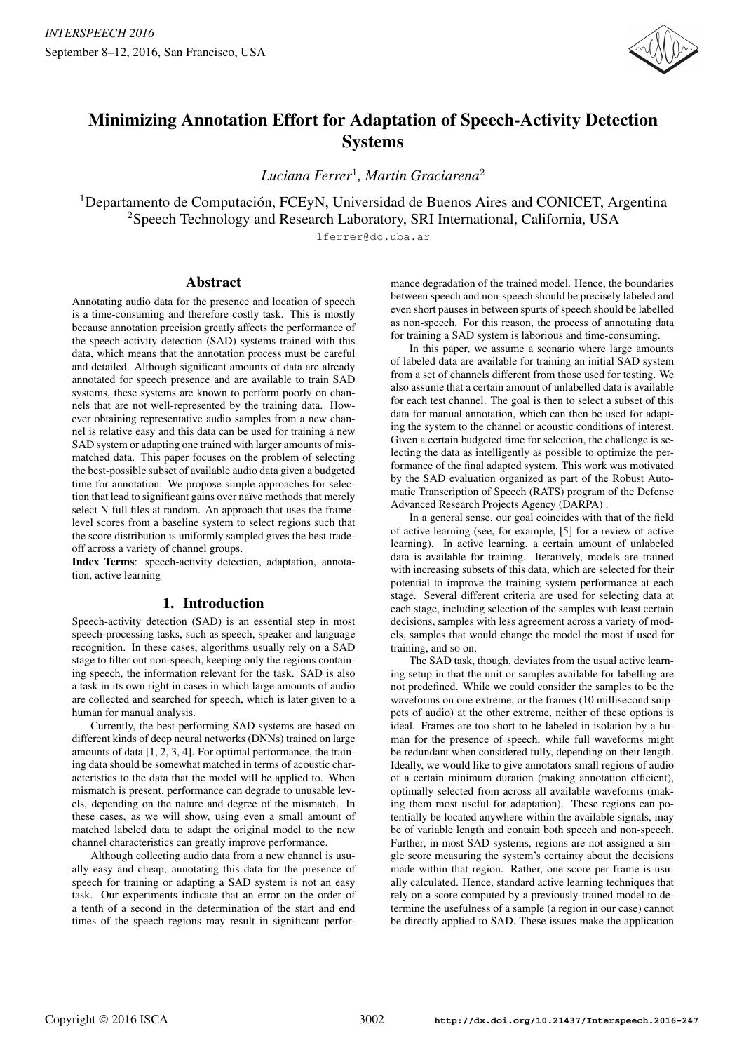

# Minimizing Annotation Effort for Adaptation of Speech-Activity Detection **Systems**

*Luciana Ferrer*<sup>1</sup> *, Martin Graciarena*<sup>2</sup>

 $1$ Departamento de Computación, FCEyN, Universidad de Buenos Aires and CONICET, Argentina <sup>2</sup>Speech Technology and Research Laboratory, SRI International, California, USA

lferrer@dc.uba.ar

# Abstract

Annotating audio data for the presence and location of speech is a time-consuming and therefore costly task. This is mostly because annotation precision greatly affects the performance of the speech-activity detection (SAD) systems trained with this data, which means that the annotation process must be careful and detailed. Although significant amounts of data are already annotated for speech presence and are available to train SAD systems, these systems are known to perform poorly on channels that are not well-represented by the training data. However obtaining representative audio samples from a new channel is relative easy and this data can be used for training a new SAD system or adapting one trained with larger amounts of mismatched data. This paper focuses on the problem of selecting the best-possible subset of available audio data given a budgeted time for annotation. We propose simple approaches for selection that lead to significant gains over naïve methods that merely select N full files at random. An approach that uses the framelevel scores from a baseline system to select regions such that the score distribution is uniformly sampled gives the best tradeoff across a variety of channel groups.

Index Terms: speech-activity detection, adaptation, annotation, active learning

# 1. Introduction

Speech-activity detection (SAD) is an essential step in most speech-processing tasks, such as speech, speaker and language recognition. In these cases, algorithms usually rely on a SAD stage to filter out non-speech, keeping only the regions containing speech, the information relevant for the task. SAD is also a task in its own right in cases in which large amounts of audio are collected and searched for speech, which is later given to a human for manual analysis.

Currently, the best-performing SAD systems are based on different kinds of deep neural networks (DNNs) trained on large amounts of data [1, 2, 3, 4]. For optimal performance, the training data should be somewhat matched in terms of acoustic characteristics to the data that the model will be applied to. When mismatch is present, performance can degrade to unusable levels, depending on the nature and degree of the mismatch. In these cases, as we will show, using even a small amount of matched labeled data to adapt the original model to the new channel characteristics can greatly improve performance.

Although collecting audio data from a new channel is usually easy and cheap, annotating this data for the presence of speech for training or adapting a SAD system is not an easy task. Our experiments indicate that an error on the order of a tenth of a second in the determination of the start and end times of the speech regions may result in significant performance degradation of the trained model. Hence, the boundaries between speech and non-speech should be precisely labeled and even short pauses in between spurts of speech should be labelled as non-speech. For this reason, the process of annotating data for training a SAD system is laborious and time-consuming.

In this paper, we assume a scenario where large amounts of labeled data are available for training an initial SAD system from a set of channels different from those used for testing. We also assume that a certain amount of unlabelled data is available for each test channel. The goal is then to select a subset of this data for manual annotation, which can then be used for adapting the system to the channel or acoustic conditions of interest. Given a certain budgeted time for selection, the challenge is selecting the data as intelligently as possible to optimize the performance of the final adapted system. This work was motivated by the SAD evaluation organized as part of the Robust Automatic Transcription of Speech (RATS) program of the Defense Advanced Research Projects Agency (DARPA) .

In a general sense, our goal coincides with that of the field of active learning (see, for example, [5] for a review of active learning). In active learning, a certain amount of unlabeled data is available for training. Iteratively, models are trained with increasing subsets of this data, which are selected for their potential to improve the training system performance at each stage. Several different criteria are used for selecting data at each stage, including selection of the samples with least certain decisions, samples with less agreement across a variety of models, samples that would change the model the most if used for training, and so on.

The SAD task, though, deviates from the usual active learning setup in that the unit or samples available for labelling are not predefined. While we could consider the samples to be the waveforms on one extreme, or the frames (10 millisecond snippets of audio) at the other extreme, neither of these options is ideal. Frames are too short to be labeled in isolation by a human for the presence of speech, while full waveforms might be redundant when considered fully, depending on their length. Ideally, we would like to give annotators small regions of audio of a certain minimum duration (making annotation efficient), optimally selected from across all available waveforms (making them most useful for adaptation). These regions can potentially be located anywhere within the available signals, may be of variable length and contain both speech and non-speech. Further, in most SAD systems, regions are not assigned a single score measuring the system's certainty about the decisions made within that region. Rather, one score per frame is usually calculated. Hence, standard active learning techniques that rely on a score computed by a previously-trained model to determine the usefulness of a sample (a region in our case) cannot be directly applied to SAD. These issues make the application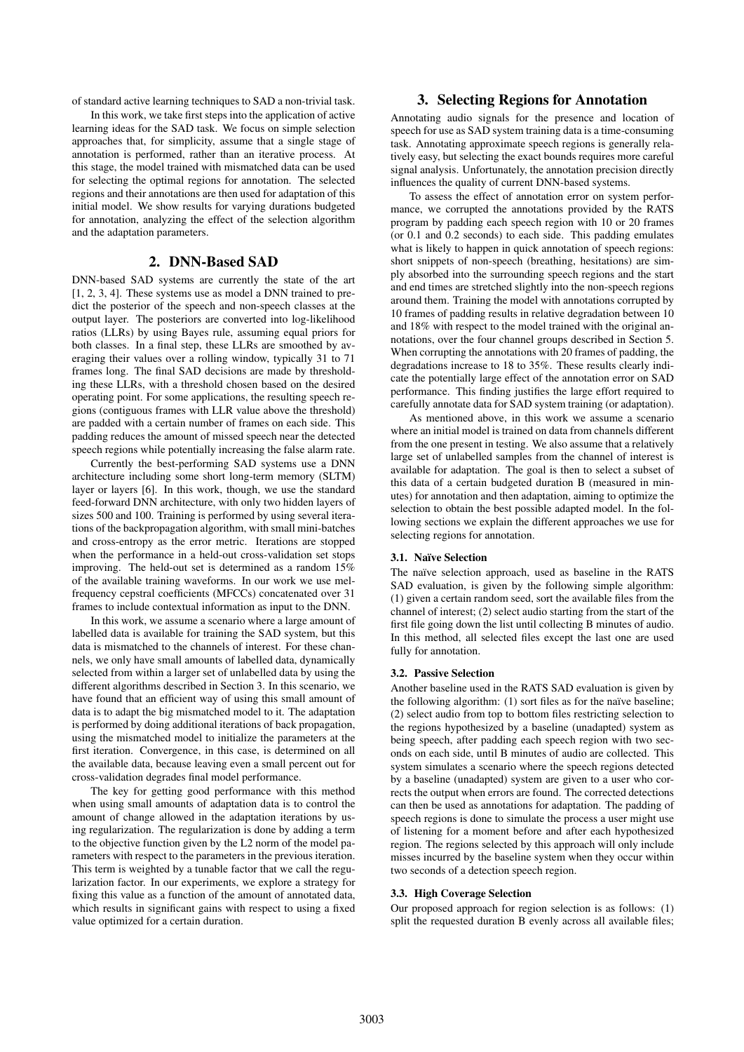of standard active learning techniques to SAD a non-trivial task.

In this work, we take first steps into the application of active learning ideas for the SAD task. We focus on simple selection approaches that, for simplicity, assume that a single stage of annotation is performed, rather than an iterative process. At this stage, the model trained with mismatched data can be used for selecting the optimal regions for annotation. The selected regions and their annotations are then used for adaptation of this initial model. We show results for varying durations budgeted for annotation, analyzing the effect of the selection algorithm and the adaptation parameters.

# 2. DNN-Based SAD

DNN-based SAD systems are currently the state of the art [1, 2, 3, 4]. These systems use as model a DNN trained to predict the posterior of the speech and non-speech classes at the output layer. The posteriors are converted into log-likelihood ratios (LLRs) by using Bayes rule, assuming equal priors for both classes. In a final step, these LLRs are smoothed by averaging their values over a rolling window, typically 31 to 71 frames long. The final SAD decisions are made by thresholding these LLRs, with a threshold chosen based on the desired operating point. For some applications, the resulting speech regions (contiguous frames with LLR value above the threshold) are padded with a certain number of frames on each side. This padding reduces the amount of missed speech near the detected speech regions while potentially increasing the false alarm rate.

Currently the best-performing SAD systems use a DNN architecture including some short long-term memory (SLTM) layer or layers [6]. In this work, though, we use the standard feed-forward DNN architecture, with only two hidden layers of sizes 500 and 100. Training is performed by using several iterations of the backpropagation algorithm, with small mini-batches and cross-entropy as the error metric. Iterations are stopped when the performance in a held-out cross-validation set stops improving. The held-out set is determined as a random 15% of the available training waveforms. In our work we use melfrequency cepstral coefficients (MFCCs) concatenated over 31 frames to include contextual information as input to the DNN.

In this work, we assume a scenario where a large amount of labelled data is available for training the SAD system, but this data is mismatched to the channels of interest. For these channels, we only have small amounts of labelled data, dynamically selected from within a larger set of unlabelled data by using the different algorithms described in Section 3. In this scenario, we have found that an efficient way of using this small amount of data is to adapt the big mismatched model to it. The adaptation is performed by doing additional iterations of back propagation, using the mismatched model to initialize the parameters at the first iteration. Convergence, in this case, is determined on all the available data, because leaving even a small percent out for cross-validation degrades final model performance.

The key for getting good performance with this method when using small amounts of adaptation data is to control the amount of change allowed in the adaptation iterations by using regularization. The regularization is done by adding a term to the objective function given by the L2 norm of the model parameters with respect to the parameters in the previous iteration. This term is weighted by a tunable factor that we call the regularization factor. In our experiments, we explore a strategy for fixing this value as a function of the amount of annotated data, which results in significant gains with respect to using a fixed value optimized for a certain duration.

# 3. Selecting Regions for Annotation

Annotating audio signals for the presence and location of speech for use as SAD system training data is a time-consuming task. Annotating approximate speech regions is generally relatively easy, but selecting the exact bounds requires more careful signal analysis. Unfortunately, the annotation precision directly influences the quality of current DNN-based systems.

To assess the effect of annotation error on system performance, we corrupted the annotations provided by the RATS program by padding each speech region with 10 or 20 frames (or 0.1 and 0.2 seconds) to each side. This padding emulates what is likely to happen in quick annotation of speech regions: short snippets of non-speech (breathing, hesitations) are simply absorbed into the surrounding speech regions and the start and end times are stretched slightly into the non-speech regions around them. Training the model with annotations corrupted by 10 frames of padding results in relative degradation between 10 and 18% with respect to the model trained with the original annotations, over the four channel groups described in Section 5. When corrupting the annotations with 20 frames of padding, the degradations increase to 18 to 35%. These results clearly indicate the potentially large effect of the annotation error on SAD performance. This finding justifies the large effort required to carefully annotate data for SAD system training (or adaptation).

As mentioned above, in this work we assume a scenario where an initial model is trained on data from channels different from the one present in testing. We also assume that a relatively large set of unlabelled samples from the channel of interest is available for adaptation. The goal is then to select a subset of this data of a certain budgeted duration B (measured in minutes) for annotation and then adaptation, aiming to optimize the selection to obtain the best possible adapted model. In the following sections we explain the different approaches we use for selecting regions for annotation.

#### 3.1. Na¨ıve Selection

The naïve selection approach, used as baseline in the RATS SAD evaluation, is given by the following simple algorithm: (1) given a certain random seed, sort the available files from the channel of interest; (2) select audio starting from the start of the first file going down the list until collecting B minutes of audio. In this method, all selected files except the last one are used fully for annotation.

#### 3.2. Passive Selection

Another baseline used in the RATS SAD evaluation is given by the following algorithm:  $(1)$  sort files as for the naïve baseline; (2) select audio from top to bottom files restricting selection to the regions hypothesized by a baseline (unadapted) system as being speech, after padding each speech region with two seconds on each side, until B minutes of audio are collected. This system simulates a scenario where the speech regions detected by a baseline (unadapted) system are given to a user who corrects the output when errors are found. The corrected detections can then be used as annotations for adaptation. The padding of speech regions is done to simulate the process a user might use of listening for a moment before and after each hypothesized region. The regions selected by this approach will only include misses incurred by the baseline system when they occur within two seconds of a detection speech region.

#### 3.3. High Coverage Selection

Our proposed approach for region selection is as follows: (1) split the requested duration B evenly across all available files;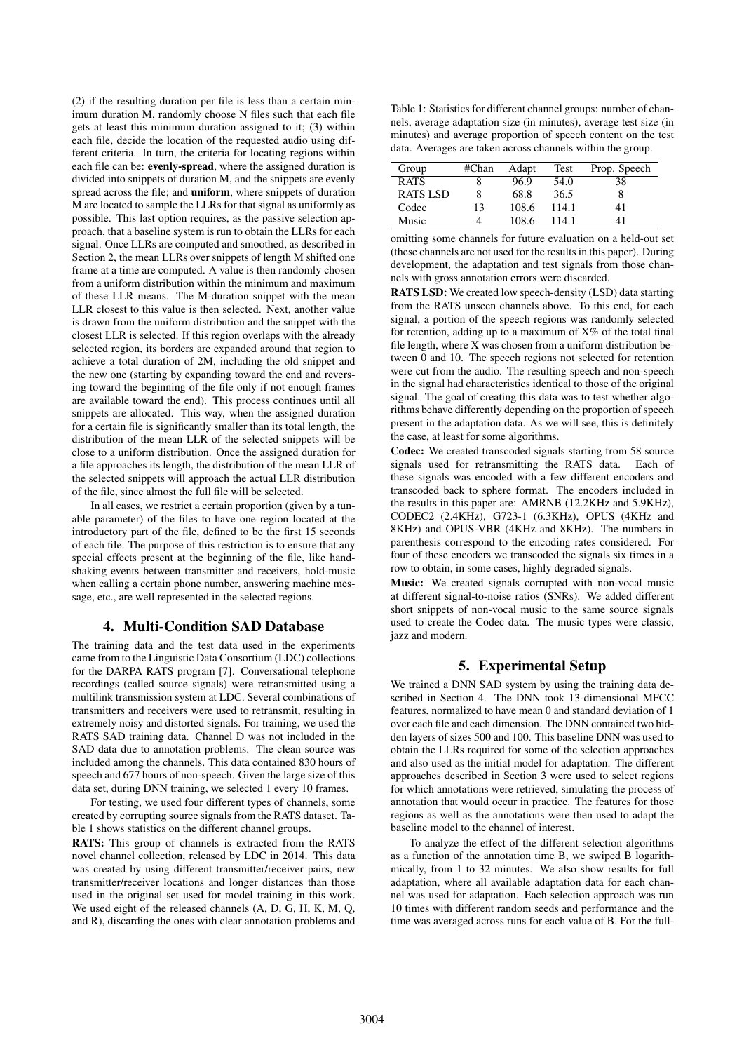(2) if the resulting duration per file is less than a certain minimum duration M, randomly choose N files such that each file gets at least this minimum duration assigned to it; (3) within each file, decide the location of the requested audio using different criteria. In turn, the criteria for locating regions within each file can be: evenly-spread, where the assigned duration is divided into snippets of duration M, and the snippets are evenly spread across the file; and **uniform**, where snippets of duration M are located to sample the LLRs for that signal as uniformly as possible. This last option requires, as the passive selection approach, that a baseline system is run to obtain the LLRs for each signal. Once LLRs are computed and smoothed, as described in Section 2, the mean LLRs over snippets of length M shifted one frame at a time are computed. A value is then randomly chosen from a uniform distribution within the minimum and maximum of these LLR means. The M-duration snippet with the mean LLR closest to this value is then selected. Next, another value is drawn from the uniform distribution and the snippet with the closest LLR is selected. If this region overlaps with the already selected region, its borders are expanded around that region to achieve a total duration of 2M, including the old snippet and the new one (starting by expanding toward the end and reversing toward the beginning of the file only if not enough frames are available toward the end). This process continues until all snippets are allocated. This way, when the assigned duration for a certain file is significantly smaller than its total length, the distribution of the mean LLR of the selected snippets will be close to a uniform distribution. Once the assigned duration for a file approaches its length, the distribution of the mean LLR of the selected snippets will approach the actual LLR distribution of the file, since almost the full file will be selected.

In all cases, we restrict a certain proportion (given by a tunable parameter) of the files to have one region located at the introductory part of the file, defined to be the first 15 seconds of each file. The purpose of this restriction is to ensure that any special effects present at the beginning of the file, like handshaking events between transmitter and receivers, hold-music when calling a certain phone number, answering machine message, etc., are well represented in the selected regions.

### 4. Multi-Condition SAD Database

The training data and the test data used in the experiments came from to the Linguistic Data Consortium (LDC) collections for the DARPA RATS program [7]. Conversational telephone recordings (called source signals) were retransmitted using a multilink transmission system at LDC. Several combinations of transmitters and receivers were used to retransmit, resulting in extremely noisy and distorted signals. For training, we used the RATS SAD training data. Channel D was not included in the SAD data due to annotation problems. The clean source was included among the channels. This data contained 830 hours of speech and 677 hours of non-speech. Given the large size of this data set, during DNN training, we selected 1 every 10 frames.

For testing, we used four different types of channels, some created by corrupting source signals from the RATS dataset. Table 1 shows statistics on the different channel groups.

RATS: This group of channels is extracted from the RATS novel channel collection, released by LDC in 2014. This data was created by using different transmitter/receiver pairs, new transmitter/receiver locations and longer distances than those used in the original set used for model training in this work. We used eight of the released channels  $(A, D, G, H, K, M, Q)$ , and R), discarding the ones with clear annotation problems and

Table 1: Statistics for different channel groups: number of channels, average adaptation size (in minutes), average test size (in minutes) and average proportion of speech content on the test data. Averages are taken across channels within the group.

| Group           | #Chan | Adapt | Test  | Prop. Speech |
|-----------------|-------|-------|-------|--------------|
| <b>RATS</b>     |       | 96.9  | 54.0  | 38           |
| <b>RATS LSD</b> |       | 68.8  | 36.5  |              |
| Codec           | 13    | 108.6 | 114.1 | 41           |
| Music           |       | 108.6 | 114.1 | 41           |

omitting some channels for future evaluation on a held-out set (these channels are not used for the results in this paper). During development, the adaptation and test signals from those channels with gross annotation errors were discarded.

RATS LSD: We created low speech-density (LSD) data starting from the RATS unseen channels above. To this end, for each signal, a portion of the speech regions was randomly selected for retention, adding up to a maximum of  $X\%$  of the total final file length, where X was chosen from a uniform distribution between 0 and 10. The speech regions not selected for retention were cut from the audio. The resulting speech and non-speech in the signal had characteristics identical to those of the original signal. The goal of creating this data was to test whether algorithms behave differently depending on the proportion of speech present in the adaptation data. As we will see, this is definitely the case, at least for some algorithms.

Codec: We created transcoded signals starting from 58 source signals used for retransmitting the RATS data. Each of these signals was encoded with a few different encoders and transcoded back to sphere format. The encoders included in the results in this paper are: AMRNB (12.2KHz and 5.9KHz), CODEC2 (2.4KHz), G723-1 (6.3KHz), OPUS (4KHz and 8KHz) and OPUS-VBR (4KHz and 8KHz). The numbers in parenthesis correspond to the encoding rates considered. For four of these encoders we transcoded the signals six times in a row to obtain, in some cases, highly degraded signals.

Music: We created signals corrupted with non-vocal music at different signal-to-noise ratios (SNRs). We added different short snippets of non-vocal music to the same source signals used to create the Codec data. The music types were classic, jazz and modern.

# 5. Experimental Setup

We trained a DNN SAD system by using the training data described in Section 4. The DNN took 13-dimensional MFCC features, normalized to have mean 0 and standard deviation of 1 over each file and each dimension. The DNN contained two hidden layers of sizes 500 and 100. This baseline DNN was used to obtain the LLRs required for some of the selection approaches and also used as the initial model for adaptation. The different approaches described in Section 3 were used to select regions for which annotations were retrieved, simulating the process of annotation that would occur in practice. The features for those regions as well as the annotations were then used to adapt the baseline model to the channel of interest.

To analyze the effect of the different selection algorithms as a function of the annotation time B, we swiped B logarithmically, from 1 to 32 minutes. We also show results for full adaptation, where all available adaptation data for each channel was used for adaptation. Each selection approach was run 10 times with different random seeds and performance and the time was averaged across runs for each value of B. For the full-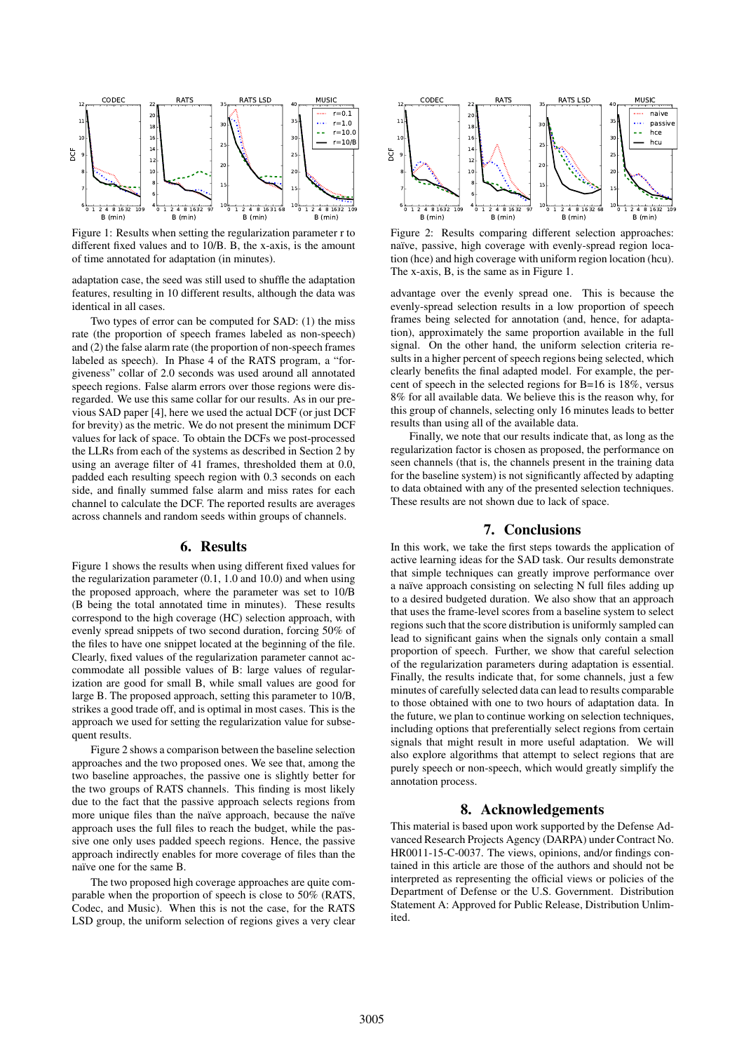

Figure 1: Results when setting the regularization parameter r to different fixed values and to 10/B. B, the x-axis, is the amount of time annotated for adaptation (in minutes).

adaptation case, the seed was still used to shuffle the adaptation features, resulting in 10 different results, although the data was identical in all cases.

Two types of error can be computed for SAD: (1) the miss rate (the proportion of speech frames labeled as non-speech) and (2) the false alarm rate (the proportion of non-speech frames labeled as speech). In Phase 4 of the RATS program, a "forgiveness" collar of 2.0 seconds was used around all annotated speech regions. False alarm errors over those regions were disregarded. We use this same collar for our results. As in our previous SAD paper [4], here we used the actual DCF (or just DCF for brevity) as the metric. We do not present the minimum DCF values for lack of space. To obtain the DCFs we post-processed the LLRs from each of the systems as described in Section 2 by using an average filter of 41 frames, thresholded them at 0.0, padded each resulting speech region with 0.3 seconds on each side, and finally summed false alarm and miss rates for each channel to calculate the DCF. The reported results are averages across channels and random seeds within groups of channels.

# 6. Results

Figure 1 shows the results when using different fixed values for the regularization parameter (0.1, 1.0 and 10.0) and when using the proposed approach, where the parameter was set to 10/B (B being the total annotated time in minutes). These results correspond to the high coverage (HC) selection approach, with evenly spread snippets of two second duration, forcing 50% of the files to have one snippet located at the beginning of the file. Clearly, fixed values of the regularization parameter cannot accommodate all possible values of B: large values of regularization are good for small B, while small values are good for large B. The proposed approach, setting this parameter to 10/B, strikes a good trade off, and is optimal in most cases. This is the approach we used for setting the regularization value for subsequent results.

Figure 2 shows a comparison between the baseline selection approaches and the two proposed ones. We see that, among the two baseline approaches, the passive one is slightly better for the two groups of RATS channels. This finding is most likely due to the fact that the passive approach selects regions from more unique files than the naïve approach, because the naïve approach uses the full files to reach the budget, while the passive one only uses padded speech regions. Hence, the passive approach indirectly enables for more coverage of files than the naïve one for the same B.

The two proposed high coverage approaches are quite comparable when the proportion of speech is close to 50% (RATS, Codec, and Music). When this is not the case, for the RATS LSD group, the uniform selection of regions gives a very clear



Figure 2: Results comparing different selection approaches: naïve, passive, high coverage with evenly-spread region location (hce) and high coverage with uniform region location (hcu). The x-axis, B, is the same as in Figure 1.

advantage over the evenly spread one. This is because the evenly-spread selection results in a low proportion of speech frames being selected for annotation (and, hence, for adaptation), approximately the same proportion available in the full signal. On the other hand, the uniform selection criteria results in a higher percent of speech regions being selected, which clearly benefits the final adapted model. For example, the percent of speech in the selected regions for B=16 is 18%, versus 8% for all available data. We believe this is the reason why, for this group of channels, selecting only 16 minutes leads to better results than using all of the available data.

Finally, we note that our results indicate that, as long as the regularization factor is chosen as proposed, the performance on seen channels (that is, the channels present in the training data for the baseline system) is not significantly affected by adapting to data obtained with any of the presented selection techniques. These results are not shown due to lack of space.

# 7. Conclusions

In this work, we take the first steps towards the application of active learning ideas for the SAD task. Our results demonstrate that simple techniques can greatly improve performance over a naïve approach consisting on selecting N full files adding up to a desired budgeted duration. We also show that an approach that uses the frame-level scores from a baseline system to select regions such that the score distribution is uniformly sampled can lead to significant gains when the signals only contain a small proportion of speech. Further, we show that careful selection of the regularization parameters during adaptation is essential. Finally, the results indicate that, for some channels, just a few minutes of carefully selected data can lead to results comparable to those obtained with one to two hours of adaptation data. In the future, we plan to continue working on selection techniques, including options that preferentially select regions from certain signals that might result in more useful adaptation. We will also explore algorithms that attempt to select regions that are purely speech or non-speech, which would greatly simplify the annotation process.

#### 8. Acknowledgements

This material is based upon work supported by the Defense Advanced Research Projects Agency (DARPA) under Contract No. HR0011-15-C-0037. The views, opinions, and/or findings contained in this article are those of the authors and should not be interpreted as representing the official views or policies of the Department of Defense or the U.S. Government. Distribution Statement A: Approved for Public Release, Distribution Unlimited.